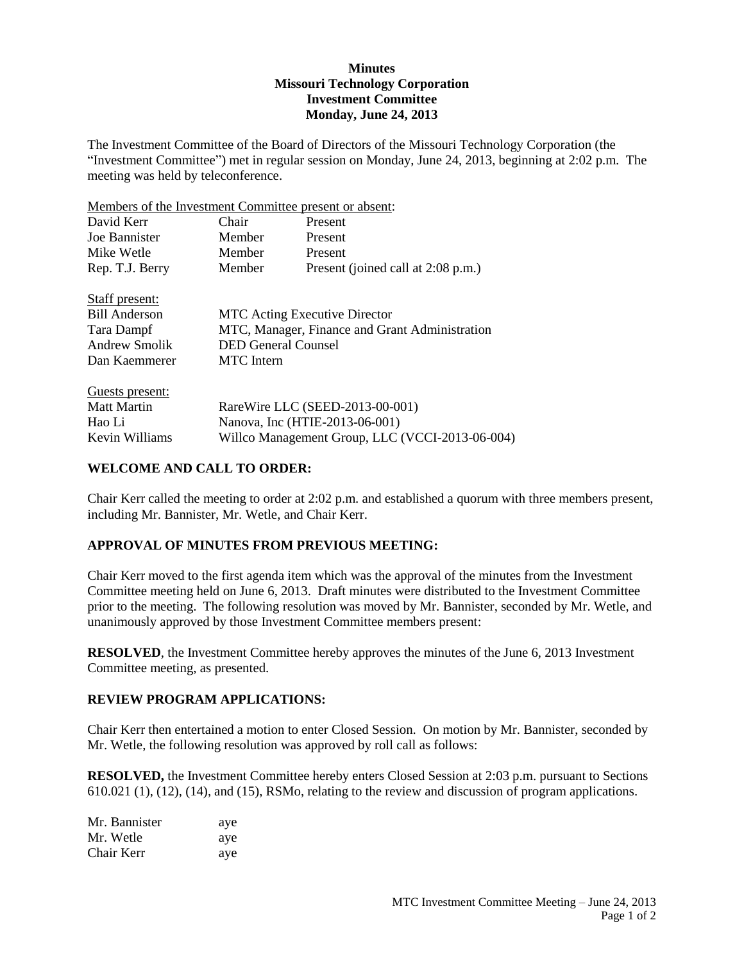# **Minutes Missouri Technology Corporation Investment Committee Monday, June 24, 2013**

The Investment Committee of the Board of Directors of the Missouri Technology Corporation (the "Investment Committee") met in regular session on Monday, June 24, 2013, beginning at 2:02 p.m. The meeting was held by teleconference.

Members of the Investment Committee present or absent: David Kerr Chair Present Joe Bannister Member Present Mike Wetle Member Present Rep. T.J. Berry Member Present (joined call at 2:08 p.m.) Staff present: Bill Anderson MTC Acting Executive Director Tara Dampf MTC, Manager, Finance and Grant Administration Andrew Smolik DED General Counsel Dan Kaemmerer MTC Intern Guests present: Matt Martin RareWire LLC (SEED-2013-00-001) Hao Li Nanova, Inc (HTIE-2013-06-001) Kevin Williams Willco Management Group, LLC (VCCI-2013-06-004)

# **WELCOME AND CALL TO ORDER:**

Chair Kerr called the meeting to order at 2:02 p.m. and established a quorum with three members present, including Mr. Bannister, Mr. Wetle, and Chair Kerr.

#### **APPROVAL OF MINUTES FROM PREVIOUS MEETING:**

Chair Kerr moved to the first agenda item which was the approval of the minutes from the Investment Committee meeting held on June 6, 2013. Draft minutes were distributed to the Investment Committee prior to the meeting. The following resolution was moved by Mr. Bannister, seconded by Mr. Wetle, and unanimously approved by those Investment Committee members present:

**RESOLVED**, the Investment Committee hereby approves the minutes of the June 6, 2013 Investment Committee meeting, as presented.

#### **REVIEW PROGRAM APPLICATIONS:**

Chair Kerr then entertained a motion to enter Closed Session. On motion by Mr. Bannister, seconded by Mr. Wetle, the following resolution was approved by roll call as follows:

**RESOLVED,** the Investment Committee hereby enters Closed Session at 2:03 p.m. pursuant to Sections 610.021 (1), (12), (14), and (15), RSMo, relating to the review and discussion of program applications.

| Mr. Bannister | aye |
|---------------|-----|
| Mr. Wetle     | aye |
| Chair Kerr    | aye |